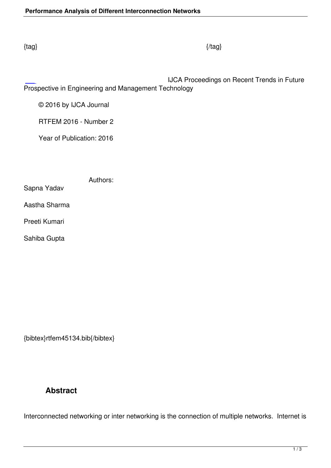IJCA Proceedings on Recent Trends in Future Prospective in Engineering and Management Technology

© 2016 by IJCA Journal

RTFEM 2016 - Number 2

Year of Publication: 2016

|               | Authors: |  |
|---------------|----------|--|
| Sapna Yadav   |          |  |
| Aastha Sharma |          |  |
| Preeti Kumari |          |  |
| Sahiba Gupta  |          |  |

{bibtex}rtfem45134.bib{/bibtex}

## **Abstract**

Interconnected networking or inter networking is the connection of multiple networks. Internet is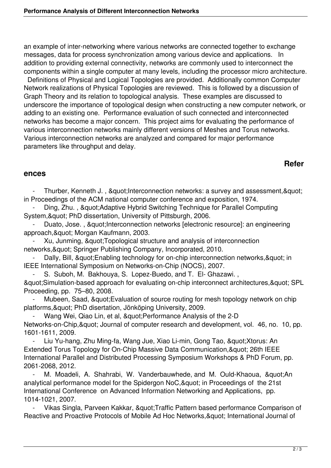an example of inter-networking where various networks are connected together to exchange messages, data for process synchronization among various device and applications. In addition to providing external connectivity, networks are commonly used to interconnect the components within a single computer at many levels, including the processor micro architecture.

 Definitions of Physical and Logical Topologies are provided. Additionally common Computer Network realizations of Physical Topologies are reviewed. This is followed by a discussion of Graph Theory and its relation to topological analysis. These examples are discussed to underscore the importance of topological design when constructing a new computer network, or adding to an existing one. Performance evaluation of such connected and interconnected networks has become a major concern. This project aims for evaluating the performance of various interconnection networks mainly different versions of Meshes and Torus networks. Various interconnection networks are analyzed and compared for major performance parameters like throughput and delay.

## **Refer**

## **ences**

Thurber, Kenneth J., & quot; Interconnection networks: a survey and assessment, & quot; in Proceedings of the ACM national computer conference and exposition, 1974.

Ding, Zhu., & quot; Adaptive Hybrid Switching Technique for Parallel Computing System, & quot; PhD dissertation, University of Pittsburgh, 2006.

Duato, Jose., & quot; Interconnection networks [electronic resource]: an engineering approach, & quot; Morgan Kaufmann, 2003.

Xu, Junming, & au ot: Topological structure and analysis of interconnection networks, & quot; Springer Publishing Company, Incorporated, 2010.

Dally, Bill, " Enabling technology for on-chip interconnection networks, " in IEEE International Symposium on Networks-on-Chip (NOCS), 2007.

S. Suboh, M. Bakhouya, S. Lopez-Buedo, and T. El- Ghazawi.,

 $&$  auot:Simulation-based approach for evaluating on-chip interconnect architectures,  $&$  quot: SPL Proceeding, pp. 75–80, 2008.

Mubeen, Saad, & quot; Evaluation of source routing for mesh topology network on chip platforms, & quot; PhD disertation, Jönköping University, 2009.

Wang Wei, Qiao Lin, et al, " Performance Analysis of the 2-D Networks-on-Chip, & quot; Journal of computer research and development, vol. 46, no. 10, pp. 1601-1611, 2009.

Liu Yu-hang, Zhu Ming-fa, Wang Jue, Xiao Li-min, Gong Tao, " Xtorus: An Extended Torus Topology for On-Chip Massive Data Communication, & quot; 26th IEEE International Parallel and Distributed Processing Symposium Workshops & PhD Forum, pp. 2061-2068, 2012.

M. Moadeli, A. Shahrabi, W. Vanderbauwhede, and M. Ould-Khaoua, "An analytical performance model for the Spidergon NoC, & quot; in Proceedings of the 21st International Conference on Advanced Information Networking and Applications, pp. 1014-1021, 2007.

Vikas Singla, Parveen Kakkar, " Traffic Pattern based performance Comparison of Reactive and Proactive Protocols of Mobile Ad Hoc Networks, & quot; International Journal of